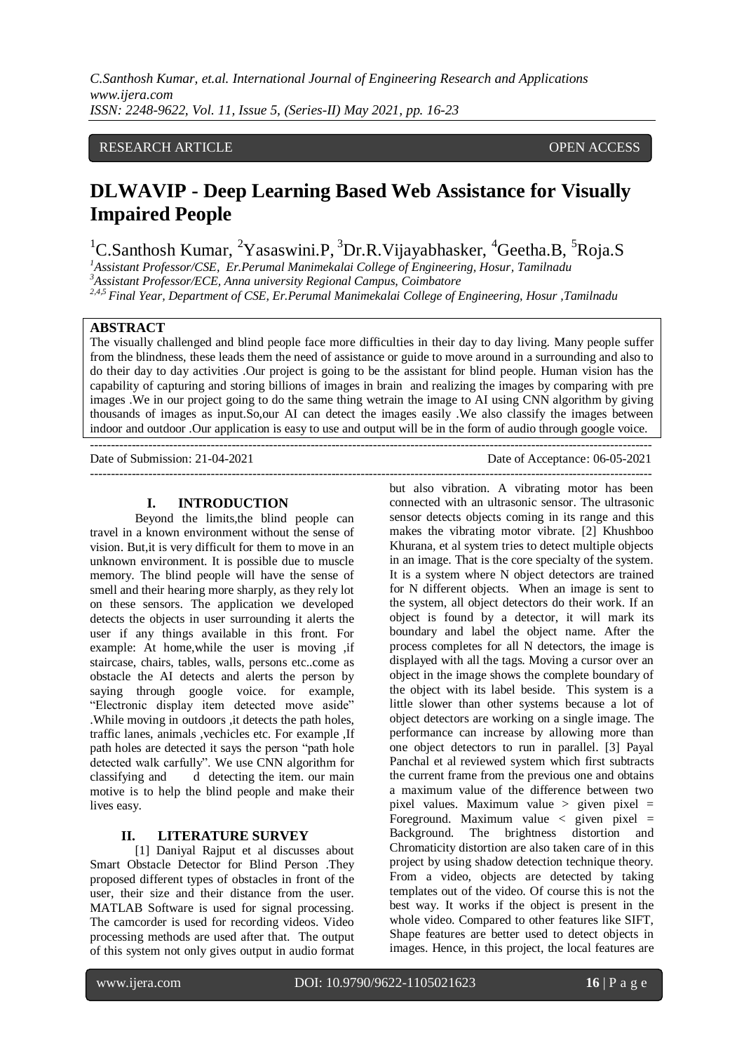# RESEARCH ARTICLE OPEN ACCESS

# **DLWAVIP - Deep Learning Based Web Assistance for Visually Impaired People**

<sup>1</sup>C.Santhosh Kumar, <sup>2</sup>Yasaswini.P, <sup>3</sup>Dr.R.Vijayabhasker, <sup>4</sup>Geetha.B, <sup>5</sup>Roja.S

*<sup>1</sup>Assistant Professor/CSE, Er.Perumal Manimekalai College of Engineering, Hosur, Tamilnadu*

*<sup>3</sup>Assistant Professor/ECE, Anna university Regional Campus, Coimbatore*

*2,4,5 Final Year, Department of CSE, Er.Perumal Manimekalai College of Engineering, Hosur ,Tamilnadu*

# **ABSTRACT**

The visually challenged and blind people face more difficulties in their day to day living. Many people suffer from the blindness, these leads them the need of assistance or guide to move around in a surrounding and also to do their day to day activities .Our project is going to be the assistant for blind people. Human vision has the capability of capturing and storing billions of images in brain and realizing the images by comparing with pre images .We in our project going to do the same thing wetrain the image to AI using CNN algorithm by giving thousands of images as input.So,our AI can detect the images easily .We also classify the images between indoor and outdoor .Our application is easy to use and output will be in the form of audio through google voice. ---------------------------------------------------------------------------------------------------------------------------------------

---------------------------------------------------------------------------------------------------------------------------------------

Date of Submission: 21-04-2021 Date of Acceptance: 06-05-2021

# **I. INTRODUCTION**

Beyond the limits,the blind people can travel in a known environment without the sense of vision. But,it is very difficult for them to move in an unknown environment. It is possible due to muscle memory. The blind people will have the sense of smell and their hearing more sharply, as they rely lot on these sensors. The application we developed detects the objects in user surrounding it alerts the user if any things available in this front. For example: At home,while the user is moving ,if staircase, chairs, tables, walls, persons etc..come as obstacle the AI detects and alerts the person by saying through google voice. for example, "Electronic display item detected move aside" .While moving in outdoors ,it detects the path holes, traffic lanes, animals ,vechicles etc. For example ,If path holes are detected it says the person "path hole detected walk carfully". We use CNN algorithm for classifying and detecting the item. our main motive is to help the blind people and make their lives easy.

### **II. LITERATURE SURVEY**

[1] Daniyal Rajput et al discusses about Smart Obstacle Detector for Blind Person .They proposed different types of obstacles in front of the user, their size and their distance from the user. MATLAB Software is used for signal processing. The camcorder is used for recording videos. Video processing methods are used after that. The output of this system not only gives output in audio format but also vibration. A vibrating motor has been connected with an ultrasonic sensor. The ultrasonic sensor detects objects coming in its range and this makes the vibrating motor vibrate. [2] Khushboo Khurana, et al system tries to detect multiple objects in an image. That is the core specialty of the system. It is a system where N object detectors are trained for N different objects. When an image is sent to the system, all object detectors do their work. If an object is found by a detector, it will mark its boundary and label the object name. After the process completes for all N detectors, the image is displayed with all the tags. Moving a cursor over an object in the image shows the complete boundary of the object with its label beside. This system is a little slower than other systems because a lot of object detectors are working on a single image. The performance can increase by allowing more than one object detectors to run in parallel. [3] Payal Panchal et al reviewed system which first subtracts the current frame from the previous one and obtains a maximum value of the difference between two pixel values. Maximum value  $>$  given pixel  $=$ Foreground. Maximum value  $\lt$  given pixel = Background. The brightness distortion and Chromaticity distortion are also taken care of in this project by using shadow detection technique theory. From a video, objects are detected by taking templates out of the video. Of course this is not the best way. It works if the object is present in the whole video. Compared to other features like SIFT, Shape features are better used to detect objects in images. Hence, in this project, the local features are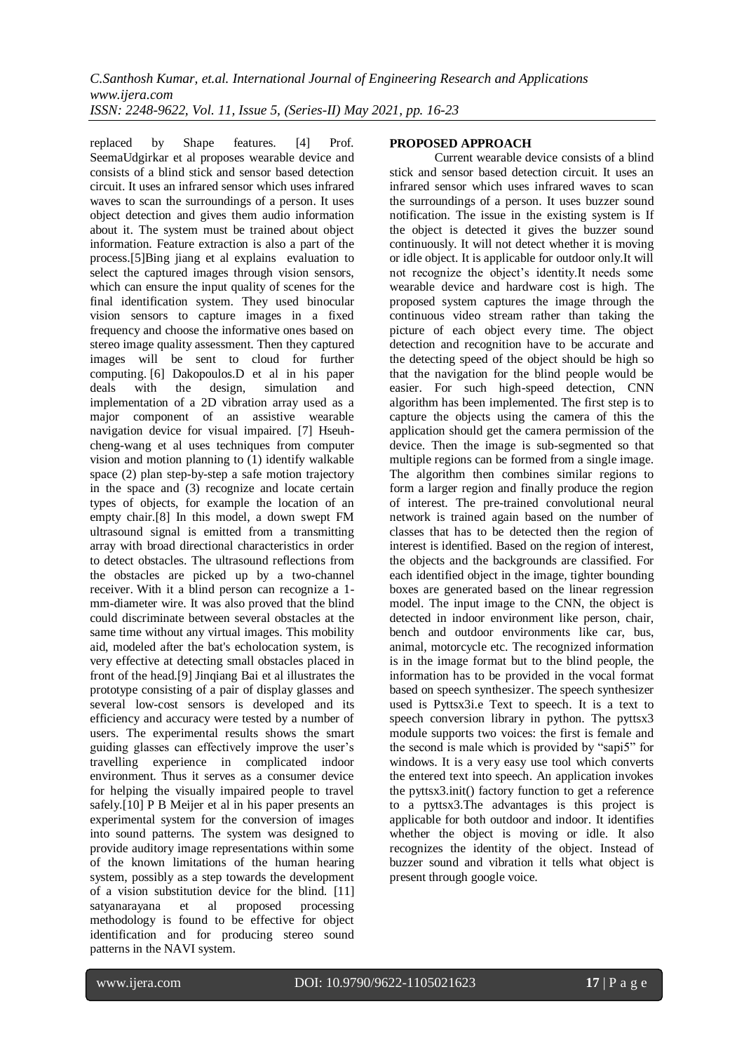replaced by Shape features. [4] Prof. SeemaUdgirkar et al proposes wearable device and consists of a blind stick and sensor based detection circuit. It uses an infrared sensor which uses infrared waves to scan the surroundings of a person. It uses object detection and gives them audio information about it. The system must be trained about object information. Feature extraction is also a part of the process.[5]Bing jiang et al explains evaluation to select the captured images through vision sensors, which can ensure the input quality of scenes for the final identification system. They used binocular vision sensors to capture images in a fixed frequency and choose the informative ones based on stereo image quality assessment. Then they captured images will be sent to cloud for further computing. [6] Dakopoulos.D et al in his paper deals with the design, simulation and implementation of a 2D vibration array used as a major component of an assistive wearable navigation device for visual impaired. [7] Hseuhcheng-wang et al uses techniques from computer vision and motion planning to (1) identify walkable space (2) plan step-by-step a safe motion trajectory in the space and (3) recognize and locate certain types of objects, for example the location of an empty chair.[8] In this model, a down swept FM ultrasound signal is emitted from a transmitting array with broad directional characteristics in order to detect obstacles. The ultrasound reflections from the obstacles are picked up by a two-channel receiver. With it a blind person can recognize a 1 mm-diameter wire. It was also proved that the blind could discriminate between several obstacles at the same time without any virtual images. This mobility aid, modeled after the bat's echolocation system, is very effective at detecting small obstacles placed in front of the head.[9] Jinqiang Bai et al illustrates the prototype consisting of a pair of display glasses and several low-cost sensors is developed and its efficiency and accuracy were tested by a number of users. The experimental results shows the smart guiding glasses can effectively improve the user's travelling experience in complicated indoor environment. Thus it serves as a consumer device for helping the visually impaired people to travel safely.[10] [P B Meijer](https://pubmed.ncbi.nlm.nih.gov/?term=Meijer+PB&cauthor_id=1612614) et al in his paper presents an experimental system for the conversion of images into sound patterns. The system was designed to provide auditory image representations within some of the known limitations of the human hearing system, possibly as a step towards the development of a vision substitution device for the blind. [11] satyanarayana et al proposed processing methodology is found to be effective for object identification and for producing stereo sound patterns in the NAVI system.

### **PROPOSED APPROACH**

Current wearable device consists of a blind stick and sensor based detection circuit. It uses an infrared sensor which uses infrared waves to scan the surroundings of a person. It uses buzzer sound notification. The issue in the existing system is If the object is detected it gives the buzzer sound continuously. It will not detect whether it is moving or idle object. It is applicable for outdoor only.It will not recognize the object's identity.It needs some wearable device and hardware cost is high. The proposed system captures the image through the continuous video stream rather than taking the picture of each object every time. The object detection and recognition have to be accurate and the detecting speed of the object should be high so that the navigation for the blind people would be easier. For such high-speed detection, CNN algorithm has been implemented. The first step is to capture the objects using the camera of this the application should get the camera permission of the device. Then the image is sub-segmented so that multiple regions can be formed from a single image. The algorithm then combines similar regions to form a larger region and finally produce the region of interest. The pre-trained convolutional neural network is trained again based on the number of classes that has to be detected then the region of interest is identified. Based on the region of interest, the objects and the backgrounds are classified. For each identified object in the image, tighter bounding boxes are generated based on the linear regression model. The input image to the CNN, the object is detected in indoor environment like person, chair, bench and outdoor environments like car, bus, animal, motorcycle etc. The recognized information is in the image format but to the blind people, the information has to be provided in the vocal format based on speech synthesizer. The speech synthesizer used is Pyttsx3i.e Text to speech. It is a text to speech conversion library in python. The pyttsx3 module supports two voices: the first is female and the second is male which is provided by "sapi5" for windows. It is a very easy use tool which converts the entered text into speech. An application invokes the pyttsx3.init() factory function to get a reference to a pyttsx3.The advantages is this project is applicable for both outdoor and indoor. It identifies whether the object is moving or idle. It also recognizes the identity of the object. Instead of buzzer sound and vibration it tells what object is present through google voice.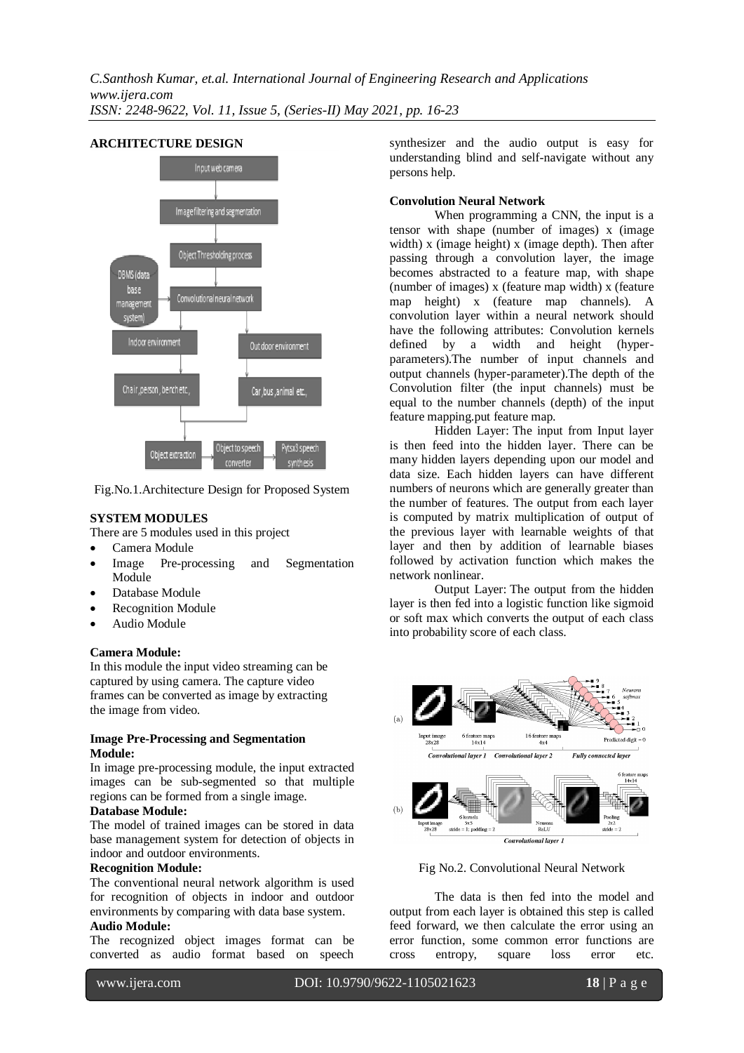

# **ARCHITECTURE DESIGN**

Fig.No.1.Architecture Design for Proposed System

# **SYSTEM MODULES**

There are 5 modules used in this project

- Camera Module
- Image Pre-processing and Segmentation Module
- Database Module
- Recognition Module
- Audio Module

#### **Camera Module:**

In this module the input video streaming can be captured by using camera. The capture video frames can be converted as image by extracting the image from video.

### **Image Pre-Processing and Segmentation Module:**

In image pre-processing module, the input extracted images can be sub-segmented so that multiple regions can be formed from a single image.

# **Database Module:**

The model of trained images can be stored in data base management system for detection of objects in indoor and outdoor environments.

### **Recognition Module:**

The conventional neural network algorithm is used for recognition of objects in indoor and outdoor environments by comparing with data base system.

# **Audio Module:**

The recognized object images format can be converted as audio format based on speech synthesizer and the audio output is easy for understanding blind and self-navigate without any persons help.

# **Convolution Neural Network**

When programming a CNN, the input is a tensor with shape (number of images)  $\bar{x}$  (image width) x (image height) x (image depth). Then after passing through a convolution layer, the image becomes abstracted to a feature map, with shape (number of images) x (feature map width) x (feature map height) x (feature map channels). A convolution layer within a neural network should have the following attributes: Convolution kernels defined by a width and height (hyperparameters).The number of input channels and output channels (hyper-parameter).The depth of the Convolution filter (the input channels) must be equal to the number channels (depth) of the input feature mapping.put feature map.

Hidden Layer: The input from Input layer is then feed into the hidden layer. There can be many hidden layers depending upon our model and data size. Each hidden layers can have different numbers of neurons which are generally greater than the number of features. The output from each layer is computed by matrix multiplication of output of the previous layer with learnable weights of that layer and then by addition of learnable biases followed by activation function which makes the network nonlinear.

Output Layer: The output from the hidden layer is then fed into a logistic function like sigmoid or soft max which converts the output of each class into probability score of each class.



Fig No.2. Convolutional Neural Network

The data is then fed into the model and output from each layer is obtained this step is called feed forward, we then calculate the error using an error function, some common error functions are cross entropy, square loss error etc.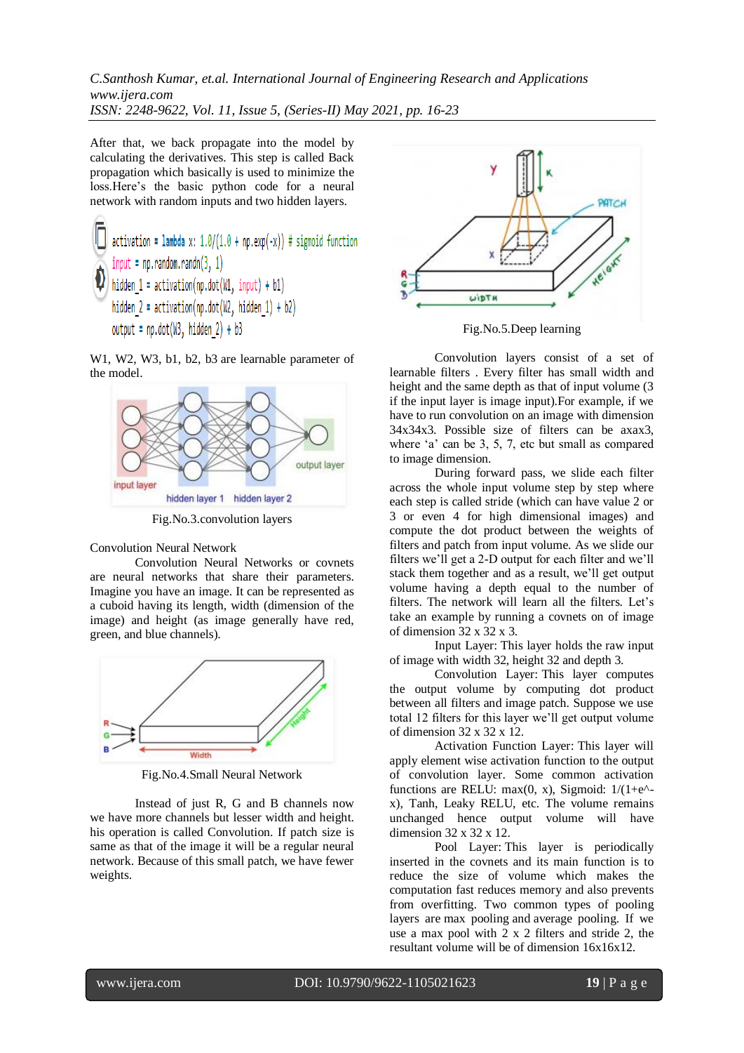After that, we back propagate into the model by calculating the derivatives. This step is called Back propagation which basically is used to minimize the loss.Here's the basic python code for a neural network with random inputs and two hidden layers.

W1, W2, W3, b1, b2, b3 are learnable parameter of the model.



Fig.No.3.convolution layers

Convolution Neural Network

Convolution Neural Networks or covnets are neural networks that share their parameters. Imagine you have an image. It can be represented as a cuboid having its length, width (dimension of the image) and height (as image generally have red, green, and blue channels).



Fig.No.4.Small Neural Network

Instead of just R, G and B channels now we have more channels but lesser width and height. his operation is called Convolution. If patch size is same as that of the image it will be a regular neural network. Because of this small patch, we have fewer weights.



Fig.No.5.Deep learning

Convolution layers consist of a set of learnable filters . Every filter has small width and height and the same depth as that of input volume  $(3)$ if the input layer is image input).For example, if we have to run convolution on an image with dimension 34x34x3. Possible size of filters can be axax3, where 'a' can be 3, 5, 7, etc but small as compared to image dimension.

During forward pass, we slide each filter across the whole input volume step by step where each step is called stride (which can have value 2 or 3 or even 4 for high dimensional images) and compute the dot product between the weights of filters and patch from input volume. As we slide our filters we'll get a 2-D output for each filter and we'll stack them together and as a result, we'll get output volume having a depth equal to the number of filters. The network will learn all the filters. Let's take an example by running a covnets on of image of dimension 32 x 32 x 3.

Input Layer: This layer holds the raw input of image with width 32, height 32 and depth 3.

Convolution Layer: This layer computes the output volume by computing dot product between all filters and image patch. Suppose we use total 12 filters for this layer we'll get output volume of dimension 32 x 32 x 12.

Activation Function Layer: This layer will apply element wise activation function to the output of convolution layer. Some common activation functions are RELU: max $(0, x)$ , Sigmoid:  $1/(1+e^{\lambda}$ x), Tanh, Leaky RELU, etc. The volume remains unchanged hence output volume will have dimension 32 x 32 x 12.

Pool Layer: This layer is periodically inserted in the covnets and its main function is to reduce the size of volume which makes the computation fast reduces memory and also prevents from overfitting. Two common types of pooling layers are max pooling and average pooling. If we use a max pool with 2 x 2 filters and stride 2, the resultant volume will be of dimension 16x16x12.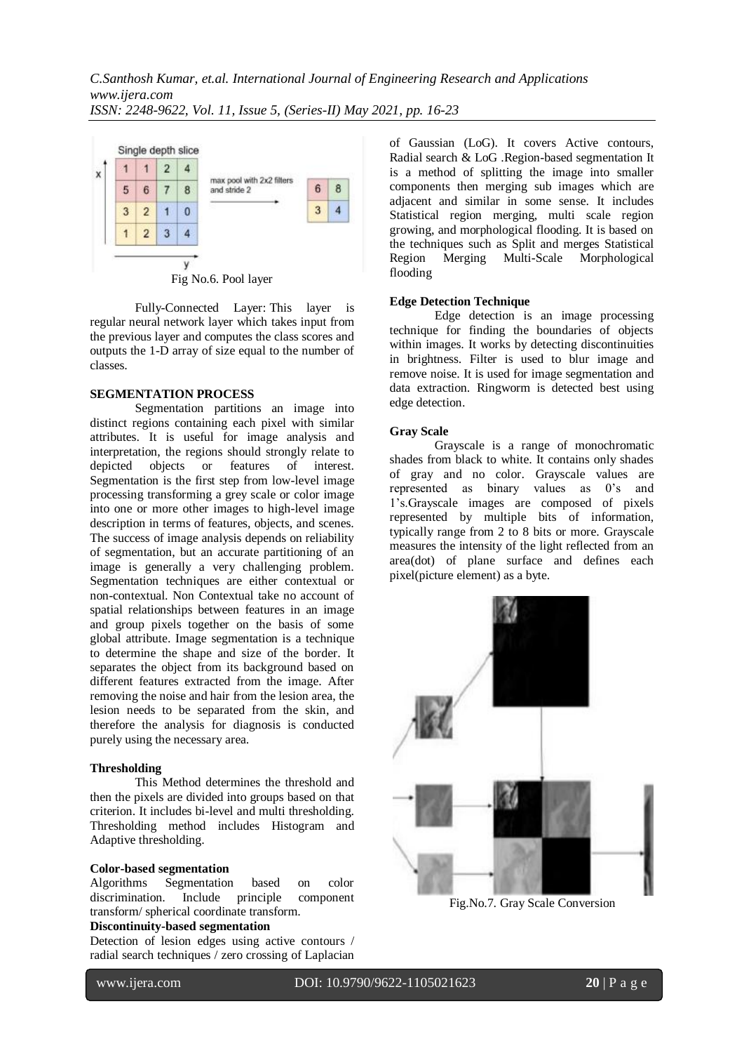

Fully-Connected Layer: This layer is regular neural network layer which takes input from the previous layer and computes the class scores and outputs the 1-D array of size equal to the number of classes.

# **SEGMENTATION PROCESS**

Segmentation partitions an image into distinct regions containing each pixel with similar attributes. It is useful for image analysis and interpretation, the regions should strongly relate to depicted objects or features of interest. Segmentation is the first step from low-level image processing transforming a grey scale or color image into one or more other images to high-level image description in terms of features, objects, and scenes. The success of image analysis depends on reliability of segmentation, but an accurate partitioning of an image is generally a very challenging problem. Segmentation techniques are either contextual or non-contextual. Non Contextual take no account of spatial relationships between features in an image and group pixels together on the basis of some global attribute. Image segmentation is a technique to determine the shape and size of the border. It separates the object from its background based on different features extracted from the image. After removing the noise and hair from the lesion area, the lesion needs to be separated from the skin, and therefore the analysis for diagnosis is conducted purely using the necessary area.

# **Thresholding**

This Method determines the threshold and then the pixels are divided into groups based on that criterion. It includes bi-level and multi thresholding. Thresholding method includes Histogram and Adaptive thresholding.

### **Color-based segmentation**

Algorithms Segmentation based on color discrimination. Include principle component transform/ spherical coordinate transform.

# **Discontinuity-based segmentation**

Detection of lesion edges using active contours / radial search techniques / zero crossing of Laplacian of Gaussian (LoG). It covers Active contours, Radial search & LoG .Region-based segmentation It is a method of splitting the image into smaller components then merging sub images which are adjacent and similar in some sense. It includes Statistical region merging, multi scale region growing, and morphological flooding. It is based on the techniques such as Split and merges Statistical Region Merging Multi-Scale Morphological flooding

### **Edge Detection Technique**

Edge detection is an image processing technique for finding the boundaries of objects within images. It works by detecting discontinuities in brightness. Filter is used to blur image and remove noise. It is used for image segmentation and data extraction. Ringworm is detected best using edge detection.

# **Gray Scale**

Grayscale is a range of monochromatic shades from black to white. It contains only shades of gray and no color. Grayscale values are represented as binary values as 0's and 1's.Grayscale images are composed of pixels represented by multiple bits of information, typically range from 2 to 8 bits or more. Grayscale measures the intensity of the light reflected from an area(dot) of plane surface and defines each pixel(picture element) as a byte.



Fig.No.7. Gray Scale Conversion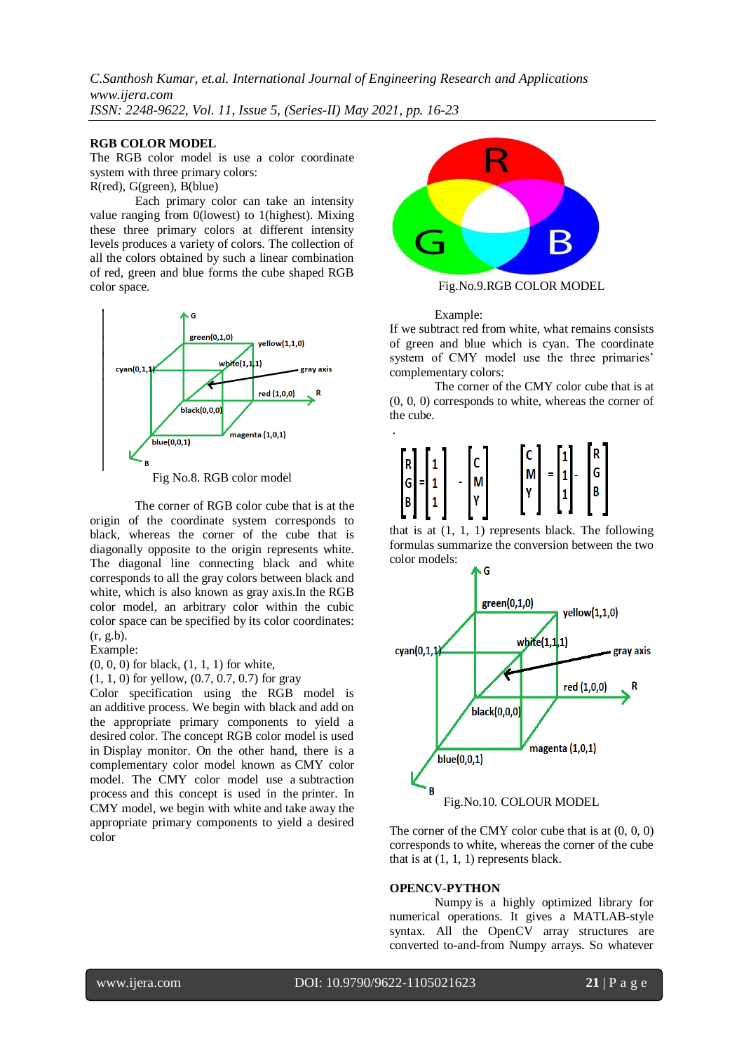#### **RGB COLOR MODEL**

The RGB color model is use a color coordinate system with three primary colors: R(red), G(green), B(blue)

Each primary color can take an intensity value ranging from 0(lowest) to 1(highest). Mixing these three primary colors at different intensity levels produces a variety of colors. The collection of

all the colors obtained by such a linear combination of red, green and blue forms the cube shaped RGB color space.



Fig No.8. RGB color model

The corner of RGB color cube that is at the origin of the coordinate system corresponds to black, whereas the corner of the cube that is diagonally opposite to the origin represents white. The diagonal line connecting black and white corresponds to all the gray colors between black and white, which is also known as gray axis.In the RGB color model, an arbitrary color within the cubic color space can be specified by its color coordinates: (r, g.b).

Example:

(0, 0, 0) for black, (1, 1, 1) for white,

(1, 1, 0) for yellow, (0.7, 0.7, 0.7) for gray

Color specification using the RGB model is an additive process. We begin with black and add on the appropriate primary components to yield a desired color. The concept RGB color model is used in Display monitor. On the other hand, there is a complementary color model known as CMY color model. The CMY color model use a subtraction process and this concept is used in the printer. In CMY model, we begin with white and take away the appropriate primary components to yield a desired color



Fig.No.9.RGB COLOR MODEL

Example:

If we subtract red from white, what remains consists of green and blue which is cyan. The coordinate system of CMY model use the three primaries' complementary colors:

The corner of the CMY color cube that is at (0, 0, 0) corresponds to white, whereas the corner of the cube.



that is at (1, 1, 1) represents black. The following formulas summarize the conversion between the two color models:



The corner of the CMY color cube that is at (0, 0, 0) corresponds to white, whereas the corner of the cube that is at  $(1, 1, 1)$  represents black.

#### **OPENCV-PYTHON**

Numpy is a highly optimized library for numerical operations. It gives a MATLAB-style syntax. All the OpenCV array structures are converted to-and-from Numpy arrays. So whatever

l

www.ijera.com DOI: 10.9790/9622-1105021623 **21** | P a g e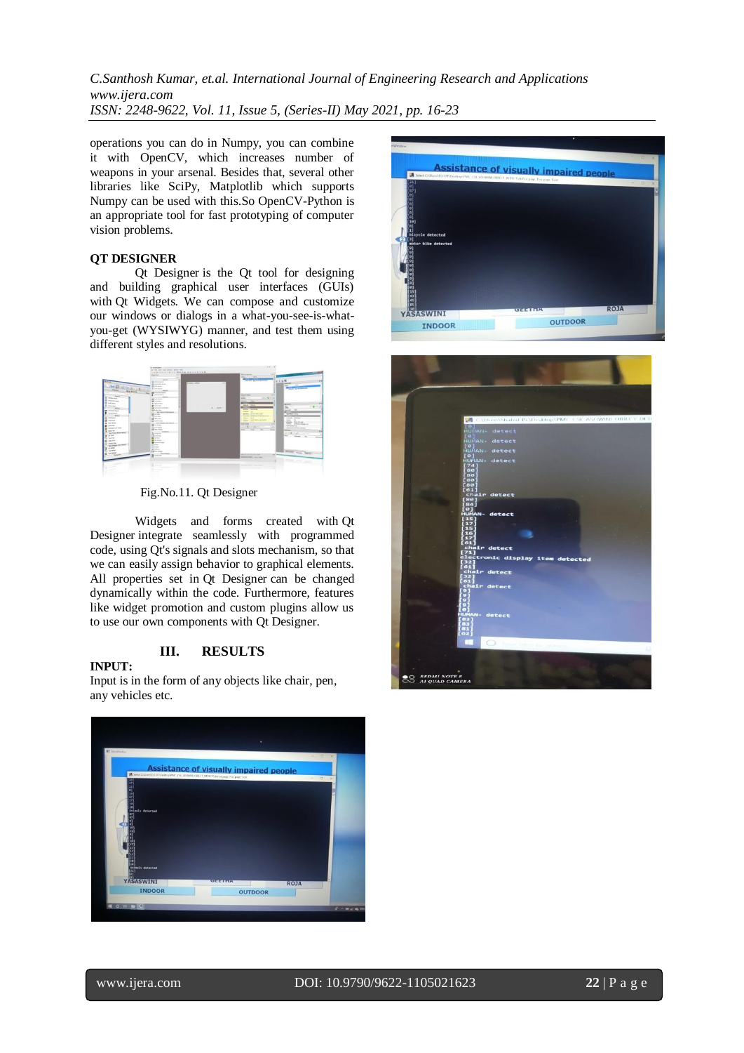operations you can do in Numpy, you can combine it with OpenCV, which increases number of weapons in your arsenal. Besides that, several other libraries like SciPy, Matplotlib which supports Numpy can be used with this.So OpenCV-Python is an appropriate tool for fast prototyping of computer vision problems.

# **QT DESIGNER**

Qt Designer is the Qt tool for designing and building graphical user interfaces (GUIs) with Qt Widgets. We can compose and customize our windows or dialogs in a what-you-see-is-whatyou-get (WYSIWYG) manner, and test them using different styles and resolutions.



Fig.No.11. Qt Designer

Widgets and forms created with Qt Designer integrate seamlessly with programmed code, using Qt's signals and slots mechanism, so that we can easily assign behavior to graphical elements. All properties set in Qt Designer can be changed dynamically within the code. Furthermore, features like widget promotion and custom plugins allow us to use our own components with Qt Designer.

# **III. RESULTS**

# **INPUT:**

Input is in the form of any objects like chair, pen, any vehicles etc.